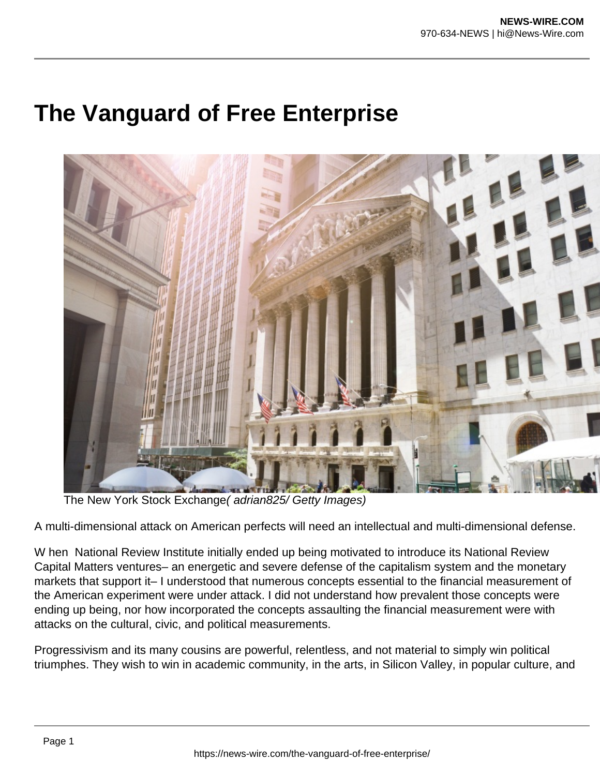## **The Vanguard of Free Enterprise**



The New York Stock Exchange( adrian825/ Getty Images)

A multi-dimensional attack on American perfects will need an intellectual and multi-dimensional defense.

W hen National Review Institute initially ended up being motivated to introduce its National Review Capital Matters ventures– an energetic and severe defense of the capitalism system and the monetary markets that support it– I understood that numerous concepts essential to the financial measurement of the American experiment were under attack. I did not understand how prevalent those concepts were ending up being, nor how incorporated the concepts assaulting the financial measurement were with attacks on the cultural, civic, and political measurements.

Progressivism and its many cousins are powerful, relentless, and not material to simply win political triumphes. They wish to win in academic community, in the arts, in Silicon Valley, in popular culture, and